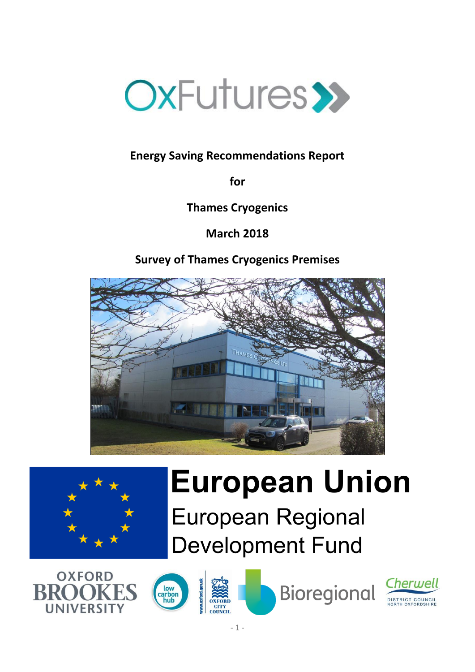

# **Energy Saving Recommendations Report**

**for**

**Thames Cryogenics**

**March 2018**

# **Survey of Thames Cryogenics Premises**





# **European Union European Regional**

**Development Fund** 





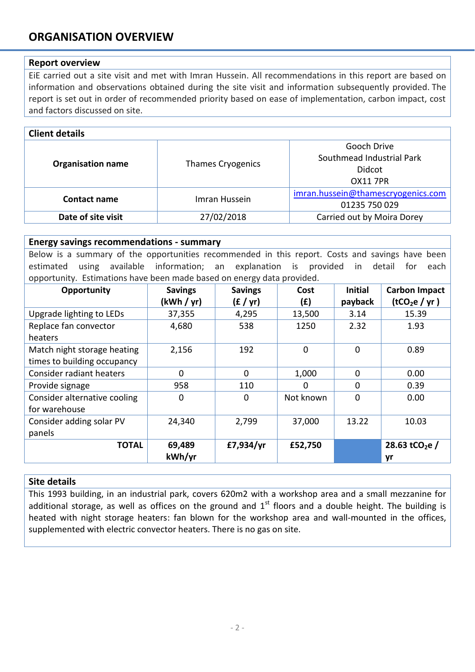# **ORGANISATION OVERVIEW**

#### **Report overview**

EiE carried out a site visit and met with Imran Hussein. All recommendations in this report are based on information and observations obtained during the site visit and information subsequently provided. The report is set out in order of recommended priority based on ease of implementation, carbon impact, cost and factors discussed on site.

| <b>Client details</b>    |                          |                                                                       |  |  |
|--------------------------|--------------------------|-----------------------------------------------------------------------|--|--|
| <b>Organisation name</b> | <b>Thames Cryogenics</b> | Gooch Drive<br>Southmead Industrial Park<br>Didcot<br><b>OX11 7PR</b> |  |  |
| Contact name             | Imran Hussein            | imran.hussein@thamescryogenics.com<br>01235 750 029                   |  |  |
| Date of site visit       | 27/02/2018               | Carried out by Moira Dorey                                            |  |  |

#### **Energy savings recommendations - summary**

Below is a summary of the opportunities recommended in this report. Costs and savings have been estimated using available information; an explanation is provided in detail for each opportunity. Estimations have been made based on energy data provided.

| Opportunity                  | <b>Savings</b> | <b>Savings</b> | Cost      | <b>Initial</b> | <b>Carbon Impact</b>       |
|------------------------------|----------------|----------------|-----------|----------------|----------------------------|
|                              | (kWh / yr)     | (f / yr)       | (f)       | payback        | (tCO <sub>2</sub> e / yr)  |
| Upgrade lighting to LEDs     | 37,355         | 4,295          | 13,500    | 3.14           | 15.39                      |
| Replace fan convector        | 4,680          | 538            | 1250      | 2.32           | 1.93                       |
| heaters                      |                |                |           |                |                            |
| Match night storage heating  | 2,156          | 192            | 0         | 0              | 0.89                       |
| times to building occupancy  |                |                |           |                |                            |
| Consider radiant heaters     | $\Omega$       | $\Omega$       | 1,000     | 0              | 0.00                       |
| Provide signage              | 958            | 110            | 0         | $\mathbf 0$    | 0.39                       |
| Consider alternative cooling | $\Omega$       | 0              | Not known | 0              | 0.00                       |
| for warehouse                |                |                |           |                |                            |
| Consider adding solar PV     | 24,340         | 2,799          | 37,000    | 13.22          | 10.03                      |
| panels                       |                |                |           |                |                            |
| <b>TOTAL</b>                 | 69,489         | £7,934/yr      | £52,750   |                | 28.63 tCO <sub>2</sub> e / |
|                              | kWh/yr         |                |           |                | yr                         |

#### **Site details**

This 1993 building, in an industrial park, covers 620m2 with a workshop area and a small mezzanine for additional storage, as well as offices on the ground and  $1<sup>st</sup>$  floors and a double height. The building is heated with night storage heaters: fan blown for the workshop area and wall-mounted in the offices, supplemented with electric convector heaters. There is no gas on site.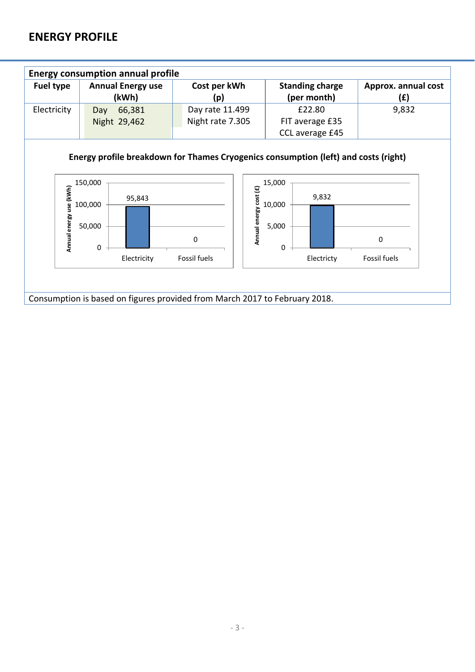# **ENERGY PROFILE**

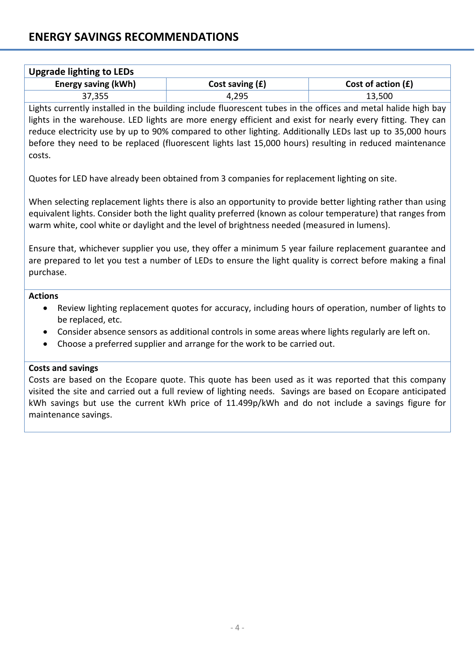| Upgrade lighting to LEDs   |                   |                      |
|----------------------------|-------------------|----------------------|
| <b>Energy saving (kWh)</b> | Cost saving $(f)$ | Cost of action $(f)$ |
| 37,355                     | 4,295             | 13,500               |

Lights currently installed in the building include fluorescent tubes in the offices and metal halide high bay lights in the warehouse. LED lights are more energy efficient and exist for nearly every fitting. They can reduce electricity use by up to 90% compared to other lighting. Additionally LEDs last up to 35,000 hours before they need to be replaced (fluorescent lights last 15,000 hours) resulting in reduced maintenance costs.

Quotes for LED have already been obtained from 3 companies for replacement lighting on site.

When selecting replacement lights there is also an opportunity to provide better lighting rather than using equivalent lights. Consider both the light quality preferred (known as colour temperature) that ranges from warm white, cool white or daylight and the level of brightness needed (measured in lumens).

Ensure that, whichever supplier you use, they offer a minimum 5 year failure replacement guarantee and are prepared to let you test a number of LEDs to ensure the light quality is correct before making a final purchase.

#### **Actions**

- Review lighting replacement quotes for accuracy, including hours of operation, number of lights to be replaced, etc.
- Consider absence sensors as additional controls in some areas where lights regularly are left on.
- Choose a preferred supplier and arrange for the work to be carried out.

## **Costs and savings**

Costs are based on the Ecopare quote. This quote has been used as it was reported that this company visited the site and carried out a full review of lighting needs. Savings are based on Ecopare anticipated kWh savings but use the current kWh price of 11.499p/kWh and do not include a savings figure for maintenance savings.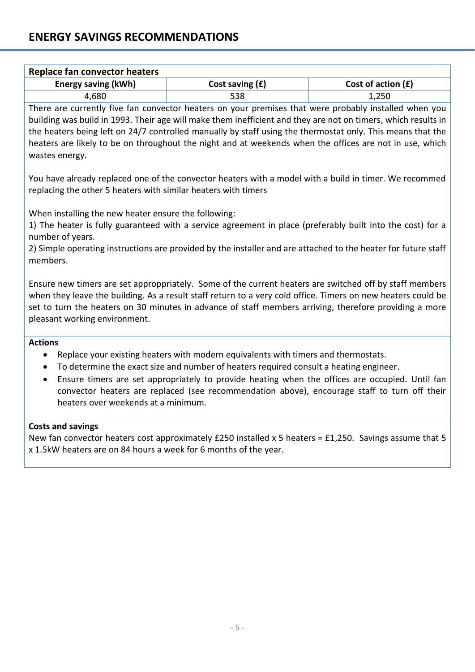| Replace fan convector heaters |                   |                      |  |
|-------------------------------|-------------------|----------------------|--|
| Energy saving (kWh)           | Cost saving $(f)$ | Cost of action $(f)$ |  |
| 4,680                         | 538               | 1,250                |  |

There are currently five fan convector heaters on your premises that were probably installed when you building was build in 1993. Their age will make them inefficient and they are not on timers, which results in the heaters being left on 24/7 controlled manually by staff using the thermostat only. This means that the heaters are likely to be on throughout the night and at weekends when the offices are not in use, which wastes energy.

You have already replaced one of the convector heaters with a model with a build in timer. We recommed replacing the other 5 heaters with similar heaters with timers

When installing the new heater ensure the following:

1) The heater is fully guaranteed with a service agreement in place (preferably built into the cost) for a number of years.

2) Simple operating instructions are provided by the installer and are attached to the heater for future staff members.

Ensure new timers are set approppriately. Some of the current heaters are switched off by staff members when they leave the building. As a result staff return to a very cold office. Timers on new heaters could be set to turn the heaters on 30 minutes in advance of staff members arriving, therefore providing a more pleasant working environment.

## **Actions**

- Replace your existing heaters with modern equivalents with timers and thermostats.
- To determine the exact size and number of heaters required consult a heating engineer.
- Ensure timers are set appropriately to provide heating when the offices are occupied. Until fan convector heaters are replaced (see recommendation above), encourage staff to turn off their heaters over weekends at a minimum.

## **Costs and savings**

New fan convector heaters cost approximately £250 installed x 5 heaters = £1,250. Savings assume that 5 x 1.5kW heaters are on 84 hours a week for 6 months of the year.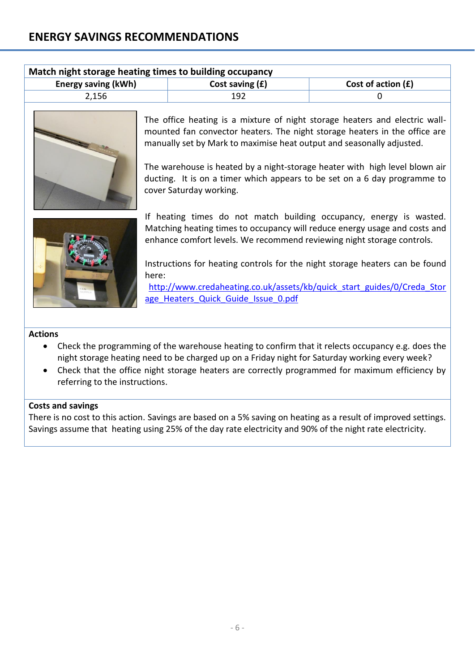| Match night storage heating times to building occupancy          |     |  |  |  |
|------------------------------------------------------------------|-----|--|--|--|
| Energy saving (kWh)<br>Cost of action $(f)$<br>Cost saving $(f)$ |     |  |  |  |
| 2.156                                                            | 192 |  |  |  |
|                                                                  |     |  |  |  |



The office heating is a mixture of night storage heaters and electric wallmounted fan convector heaters. The night storage heaters in the office are manually set by Mark to maximise heat output and seasonally adjusted.

The warehouse is heated by a night-storage heater with high level blown air ducting. It is on a timer which appears to be set on a 6 day programme to cover Saturday working.



If heating times do not match building occupancy, energy is wasted. Matching heating times to occupancy will reduce energy usage and costs and enhance comfort levels. We recommend reviewing night storage controls.

Instructions for heating controls for the night storage heaters can be found here:

[http://www.credaheating.co.uk/assets/kb/quick\\_start\\_guides/0/Creda\\_Stor](http://www.credaheating.co.uk/assets/kb/quick_start_guides/0/Creda_Storage_Heaters_Quick_Guide_Issue_0.pdf) [age\\_Heaters\\_Quick\\_Guide\\_Issue\\_0.pdf](http://www.credaheating.co.uk/assets/kb/quick_start_guides/0/Creda_Storage_Heaters_Quick_Guide_Issue_0.pdf)

#### **Actions**

- Check the programming of the warehouse heating to confirm that it relects occupancy e.g. does the night storage heating need to be charged up on a Friday night for Saturday working every week?
- Check that the office night storage heaters are correctly programmed for maximum efficiency by referring to the instructions.

#### **Costs and savings**

There is no cost to this action. Savings are based on a 5% saving on heating as a result of improved settings. Savings assume that heating using 25% of the day rate electricity and 90% of the night rate electricity.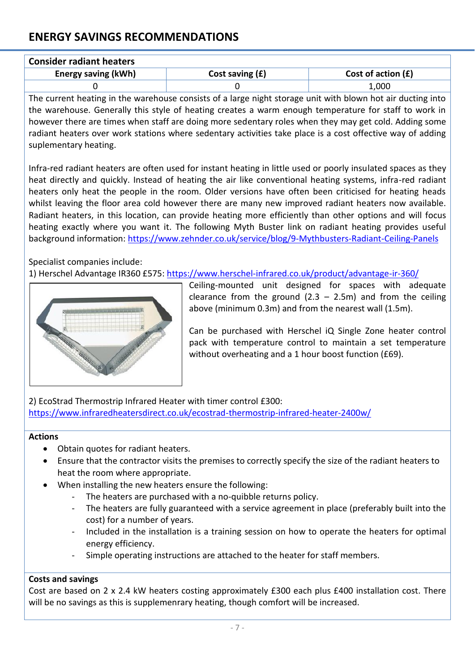# **ENERGY SAVINGS RECOMMENDATIONS**

| <b>Consider radiant heaters</b> |                   |                      |  |
|---------------------------------|-------------------|----------------------|--|
| Energy saving (kWh)             | Cost saving $(f)$ | Cost of action $(f)$ |  |
|                                 |                   | 1,000                |  |

The current heating in the warehouse consists of a large night storage unit with blown hot air ducting into the warehouse. Generally this style of heating creates a warm enough temperature for staff to work in however there are times when staff are doing more sedentary roles when they may get cold. Adding some radiant heaters over work stations where sedentary activities take place is a cost offective way of adding suplementary heating.

Infra-red radiant heaters are often used for instant heating in little used or poorly insulated spaces as they heat directly and quickly. Instead of heating the air like conventional heating systems, infra-red radiant heaters only heat the people in the room. Older versions have often been criticised for heating heads whilst leaving the floor area cold however there are many new improved radiant heaters now available. Radiant heaters, in this location, can provide heating more efficiently than other options and will focus heating exactly where you want it. The following Myth Buster link on radiant heating provides useful background information:<https://www.zehnder.co.uk/service/blog/9-Mythbusters-Radiant-Ceiling-Panels>

Specialist companies include:

1) Herschel Advantage IR360 £575: <https://www.herschel-infrared.co.uk/product/advantage-ir-360/>



Ceiling-mounted unit designed for spaces with adequate clearance from the ground  $(2.3 - 2.5m)$  and from the ceiling above (minimum 0.3m) and from the nearest wall (1.5m).

Can be purchased with Herschel iQ Single Zone heater control pack with temperature control to maintain a set temperature without overheating and a 1 hour boost function (£69).

2) EcoStrad Thermostrip Infrared Heater with timer control £300: <https://www.infraredheatersdirect.co.uk/ecostrad-thermostrip-infrared-heater-2400w/>

#### **Actions**

- Obtain quotes for radiant heaters.
- Ensure that the contractor visits the premises to correctly specify the size of the radiant heaters to heat the room where appropriate.
- When installing the new heaters ensure the following:
	- The heaters are purchased with a no-quibble returns policy.
	- The heaters are fully guaranteed with a service agreement in place (preferably built into the cost) for a number of years.
	- Included in the installation is a training session on how to operate the heaters for optimal energy efficiency.
	- Simple operating instructions are attached to the heater for staff members.

## **Costs and savings**

Cost are based on 2 x 2.4 kW heaters costing approximately £300 each plus £400 installation cost. There will be no savings as this is supplemenrary heating, though comfort will be increased.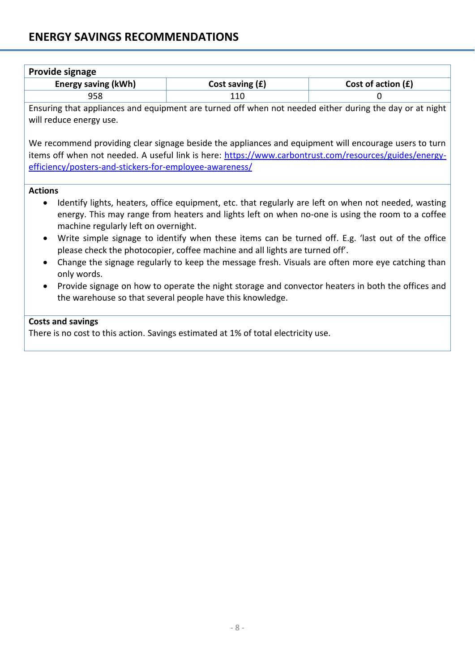# **ENERGY SAVINGS RECOMMENDATIONS**

|                | Provide signage                                           |                                                                                    |                                                                                                                                                                                                                 |
|----------------|-----------------------------------------------------------|------------------------------------------------------------------------------------|-----------------------------------------------------------------------------------------------------------------------------------------------------------------------------------------------------------------|
|                | <b>Energy saving (kWh)</b>                                | Cost saving $(f)$                                                                  | Cost of action $(f)$                                                                                                                                                                                            |
|                | 958                                                       | 110                                                                                | 0                                                                                                                                                                                                               |
|                | will reduce energy use.                                   |                                                                                    | Ensuring that appliances and equipment are turned off when not needed either during the day or at night                                                                                                         |
|                | efficiency/posters-and-stickers-for-employee-awareness/   |                                                                                    | We recommend providing clear signage beside the appliances and equipment will encourage users to turn<br>items off when not needed. A useful link is here: https://www.carbontrust.com/resources/guides/energy- |
| <b>Actions</b> |                                                           |                                                                                    |                                                                                                                                                                                                                 |
|                | machine regularly left on overnight.                      |                                                                                    | Identify lights, heaters, office equipment, etc. that regularly are left on when not needed, wasting<br>energy. This may range from heaters and lights left on when no-one is using the room to a coffee        |
|                |                                                           | please check the photocopier, coffee machine and all lights are turned off'.       | Write simple signage to identify when these items can be turned off. E.g. 'last out of the office                                                                                                               |
|                | only words.                                               |                                                                                    | Change the signage regularly to keep the message fresh. Visuals are often more eye catching than                                                                                                                |
|                | the warehouse so that several people have this knowledge. |                                                                                    | Provide signage on how to operate the night storage and convector heaters in both the offices and                                                                                                               |
|                | <b>Costs and savings</b>                                  | There is no cost to this action. Savings estimated at 1% of total electricity use. |                                                                                                                                                                                                                 |
|                |                                                           |                                                                                    |                                                                                                                                                                                                                 |
|                |                                                           |                                                                                    |                                                                                                                                                                                                                 |
|                |                                                           |                                                                                    |                                                                                                                                                                                                                 |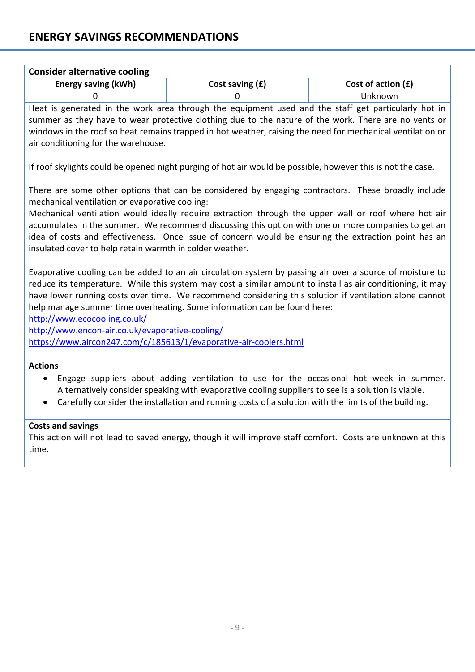| <b>Consider alternative cooling</b> |                   |                      |  |
|-------------------------------------|-------------------|----------------------|--|
| <b>Energy saving (kWh)</b>          | Cost saving $(f)$ | Cost of action $(E)$ |  |
|                                     |                   | Unknown              |  |

Heat is generated in the work area through the equipment used and the staff get particularly hot in summer as they have to wear protective clothing due to the nature of the work. There are no vents or windows in the roof so heat remains trapped in hot weather, raising the need for mechanical ventilation or air conditioning for the warehouse.

If roof skylights could be opened night purging of hot air would be possible, however this is not the case.

There are some other options that can be considered by engaging contractors. These broadly include mechanical ventilation or evaporative cooling:

Mechanical ventilation would ideally require extraction through the upper wall or roof where hot air accumulates in the summer. We recommend discussing this option with one or more companies to get an idea of costs and effectiveness. Once issue of concern would be ensuring the extraction point has an insulated cover to help retain warmth in colder weather.

Evaporative cooling can be added to an air circulation system by passing air over a source of moisture to reduce its temperature. While this system may cost a similar amount to install as air conditioning, it may have lower running costs over time. We recommend considering this solution if ventilation alone cannot help manage summer time overheating. Some information can be found here:

<http://www.ecocooling.co.uk/>

<http://www.encon-air.co.uk/evaporative-cooling/> <https://www.aircon247.com/c/185613/1/evaporative-air-coolers.html>

## **Actions**

- Engage suppliers about adding ventilation to use for the occasional hot week in summer. Alternatively consider speaking with evaporative cooling suppliers to see is a solution is viable.
- Carefully consider the installation and running costs of a solution with the limits of the building.

# **Costs and savings**

This action will not lead to saved energy, though it will improve staff comfort. Costs are unknown at this time.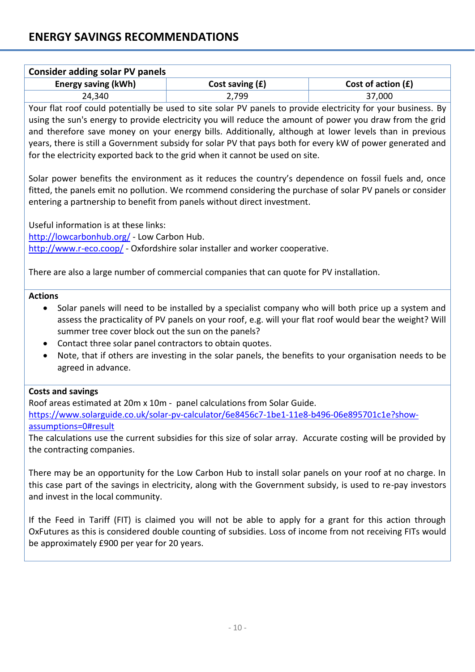| <b>Consider adding solar PV panels</b> |                   |                      |  |
|----------------------------------------|-------------------|----------------------|--|
| Energy saving (kWh)                    | Cost saving $(f)$ | Cost of action $(f)$ |  |
| 24,340                                 | 2,799             | 37,000               |  |

Your flat roof could potentially be used to site solar PV panels to provide electricity for your business. By using the sun's energy to provide electricity you will reduce the amount of power you draw from the grid and therefore save money on your energy bills. Additionally, although at lower levels than in previous years, there is still a Government subsidy for solar PV that pays both for every kW of power generated and for the electricity exported back to the grid when it cannot be used on site.

Solar power benefits the environment as it reduces the country's dependence on fossil fuels and, once fitted, the panels emit no pollution. We rcommend considering the purchase of solar PV panels or consider entering a partnership to benefit from panels without direct investment.

Useful information is at these links: <http://lowcarbonhub.org/> - Low Carbon Hub. <http://www.r-eco.coop/> - Oxfordshire solar installer and worker cooperative.

There are also a large number of commercial companies that can quote for PV installation.

## **Actions**

- Solar panels will need to be installed by a specialist company who will both price up a system and assess the practicality of PV panels on your roof, e.g. will your flat roof would bear the weight? Will summer tree cover block out the sun on the panels?
- Contact three solar panel contractors to obtain quotes.
- Note, that if others are investing in the solar panels, the benefits to your organisation needs to be agreed in advance.

## **Costs and savings**

Roof areas estimated at 20m x 10m - panel calculations from Solar Guide. [https://www.solarguide.co.uk/solar-pv-calculator/6e8456c7-1be1-11e8-b496-06e895701c1e?show](https://www.solarguide.co.uk/solar-pv-calculator/6e8456c7-1be1-11e8-b496-06e895701c1e?show-assumptions=0#result)[assumptions=0#result](https://www.solarguide.co.uk/solar-pv-calculator/6e8456c7-1be1-11e8-b496-06e895701c1e?show-assumptions=0#result)

The calculations use the current subsidies for this size of solar array. Accurate costing will be provided by the contracting companies.

There may be an opportunity for the Low Carbon Hub to install solar panels on your roof at no charge. In this case part of the savings in electricity, along with the Government subsidy, is used to re-pay investors and invest in the local community.

If the Feed in Tariff (FIT) is claimed you will not be able to apply for a grant for this action through OxFutures as this is considered double counting of subsidies. Loss of income from not receiving FITs would be approximately £900 per year for 20 years.